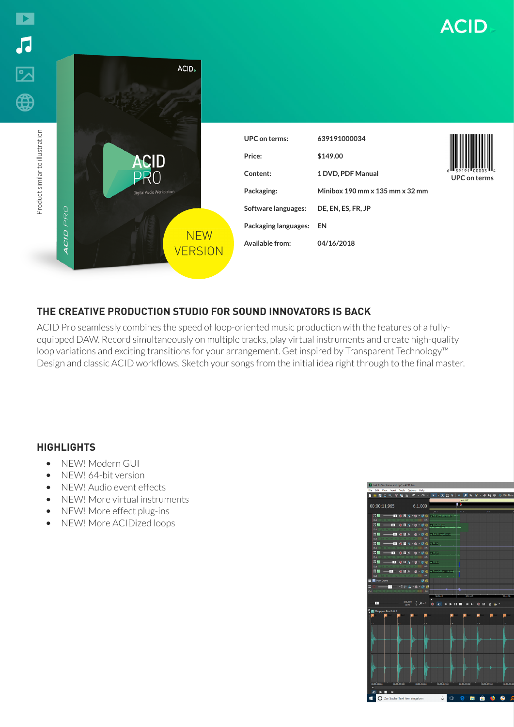

# **THE CREATIVE PRODUCTION STUDIO FOR SOUND INNOVATORS IS BACK**

ACID Pro seamlessly combines the speed of loop-oriented music production with the features of a fullyequipped DAW. Record simultaneously on multiple tracks, play virtual instruments and create high-quality loop variations and exciting transitions for your arrangement. Get inspired by Transparent Technology™ Design and classic ACID workflows. Sketch your songs from the initial idea right through to the final master.

## **HIGHLIGHTS**

- NEW! Modern GUI
- NEW! 64-bit version
- NEW! Audio event effects
- NEW! More virtual instruments
- NEW! More effect plug-ins
- NEW! More ACIDized loops